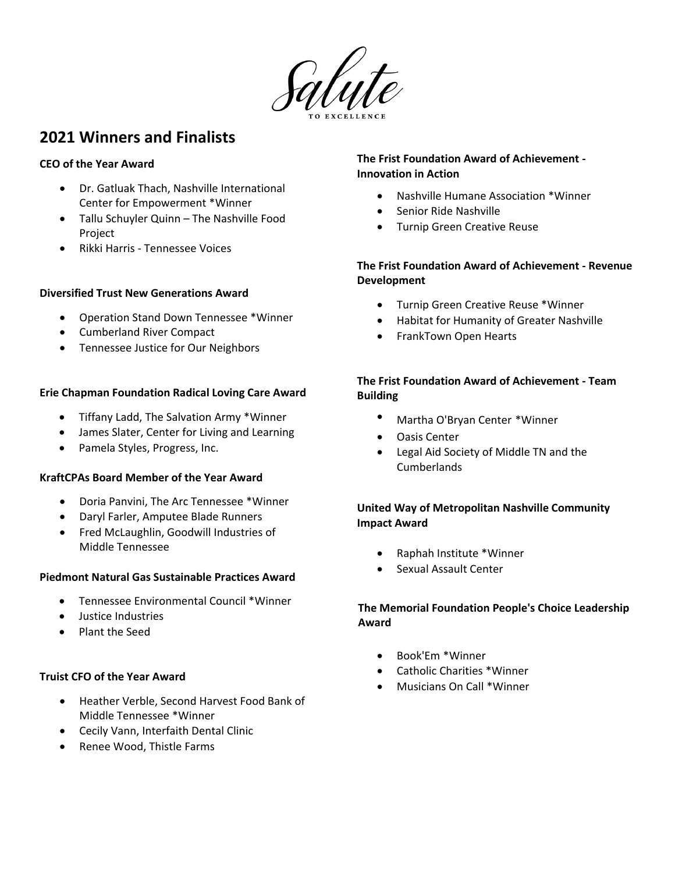

#### **CEO of the Year Award**

- Dr. Gatluak Thach, Nashville International Center for Empowerment \*Winner
- Tallu Schuyler Quinn The Nashville Food Project
- Rikki Harris Tennessee Voices

#### **Diversified Trust New Generations Award**

- Operation Stand Down Tennessee \*Winner
- Cumberland River Compact
- Tennessee Justice for Our Neighbors

# **Erie Chapman Foundation Radical Loving Care Award**

- Tiffany Ladd, The Salvation Army \*Winner
- James Slater, Center for Living and Learning
- Pamela Styles, Progress, Inc.

#### **KraftCPAs Board Member of the Year Award**

- Doria Panvini, The Arc Tennessee \*Winner
- Daryl Farler, Amputee Blade Runners
- Fred McLaughlin, Goodwill Industries of Middle Tennessee

#### **Piedmont Natural Gas Sustainable Practices Award**

- Tennessee Environmental Council \*Winner
- Justice Industries
- Plant the Seed

#### **Truist CFO of the Year Award**

- Heather Verble, Second Harvest Food Bank of Middle Tennessee \*Winner
- Cecily Vann, Interfaith Dental Clinic
- Renee Wood, Thistle Farms

# **The Frist Foundation Award of Achievement - Innovation in Action**

- Nashville Humane Association \*Winner
- Senior Ride Nashville
- Turnip Green Creative Reuse

# **The Frist Foundation Award of Achievement - Revenue Development**

- Turnip Green Creative Reuse \*Winner
- Habitat for Humanity of Greater Nashville
- FrankTown Open Hearts

# **The Frist Foundation Award of Achievement - Team Building**

- Martha O'Bryan Center \*Winner
- Oasis Center
- Legal Aid Society of Middle TN and the **Cumberlands**

# **United Way of Metropolitan Nashville Community Impact Award**

- Raphah Institute \*Winner
- Sexual Assault Center

# **The Memorial Foundation People's Choice Leadership Award**

- Book'Em \*Winner
- Catholic Charities \*Winner
- Musicians On Call \*Winner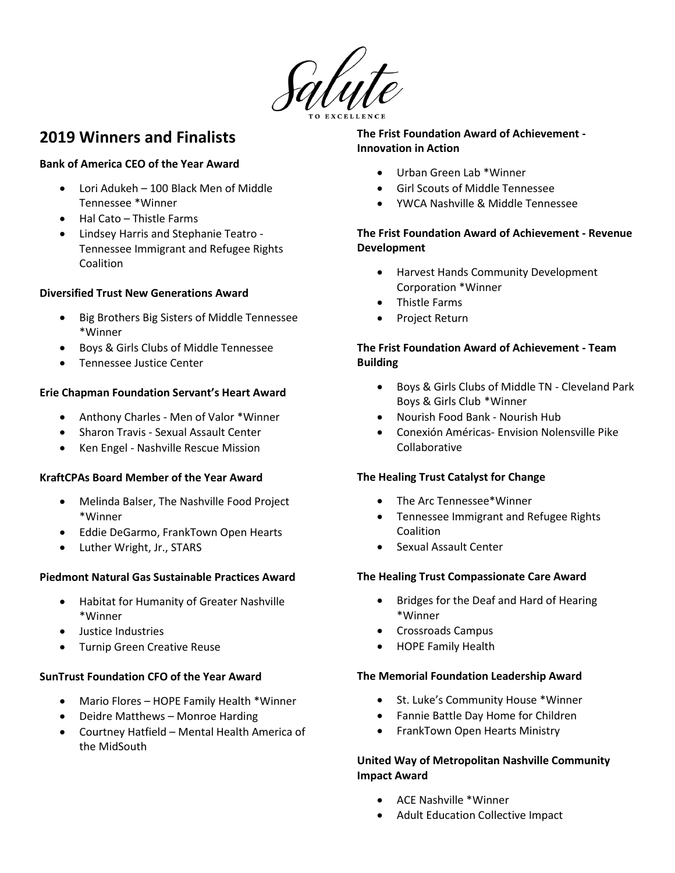

# **Bank of America CEO of the Year Award**

- Lori Adukeh 100 Black Men of Middle Tennessee \*Winner
- Hal Cato Thistle Farms
- Lindsey Harris and Stephanie Teatro Tennessee Immigrant and Refugee Rights Coalition

# **Diversified Trust New Generations Award**

- Big Brothers Big Sisters of Middle Tennessee \*Winner
- Boys & Girls Clubs of Middle Tennessee
- Tennessee Justice Center

# **Erie Chapman Foundation Servant's Heart Award**

- Anthony Charles Men of Valor \*Winner
- Sharon Travis Sexual Assault Center
- Ken Engel Nashville Rescue Mission

#### **KraftCPAs Board Member of the Year Award**

- Melinda Balser, The Nashville Food Project \*Winner
- Eddie DeGarmo, FrankTown Open Hearts
- Luther Wright, Jr., STARS

#### **Piedmont Natural Gas Sustainable Practices Award**

- Habitat for Humanity of Greater Nashville \*Winner
- Justice Industries
- Turnip Green Creative Reuse

#### **SunTrust Foundation CFO of the Year Award**

- Mario Flores HOPE Family Health \*Winner
- Deidre Matthews Monroe Harding
- Courtney Hatfield Mental Health America of the MidSouth

# **The Frist Foundation Award of Achievement - Innovation in Action**

- Urban Green Lab \*Winner
- Girl Scouts of Middle Tennessee
- YWCA Nashville & Middle Tennessee

# **The Frist Foundation Award of Achievement - Revenue Development**

- Harvest Hands Community Development Corporation \*Winner
- Thistle Farms
- Project Return

# **The Frist Foundation Award of Achievement - Team Building**

- Boys & Girls Clubs of Middle TN Cleveland Park Boys & Girls Club \*Winner
- Nourish Food Bank Nourish Hub
- Conexión Américas- Envision Nolensville Pike Collaborative

# **The Healing Trust Catalyst for Change**

- The Arc Tennessee\*Winner
- Tennessee Immigrant and Refugee Rights Coalition
- Sexual Assault Center

#### **The Healing Trust Compassionate Care Award**

- Bridges for the Deaf and Hard of Hearing \*Winner
- Crossroads Campus
- HOPE Family Health

#### **The Memorial Foundation Leadership Award**

- St. Luke's Community House \*Winner
- Fannie Battle Day Home for Children
- FrankTown Open Hearts Ministry

# **United Way of Metropolitan Nashville Community Impact Award**

- ACE Nashville \*Winner
- Adult Education Collective Impact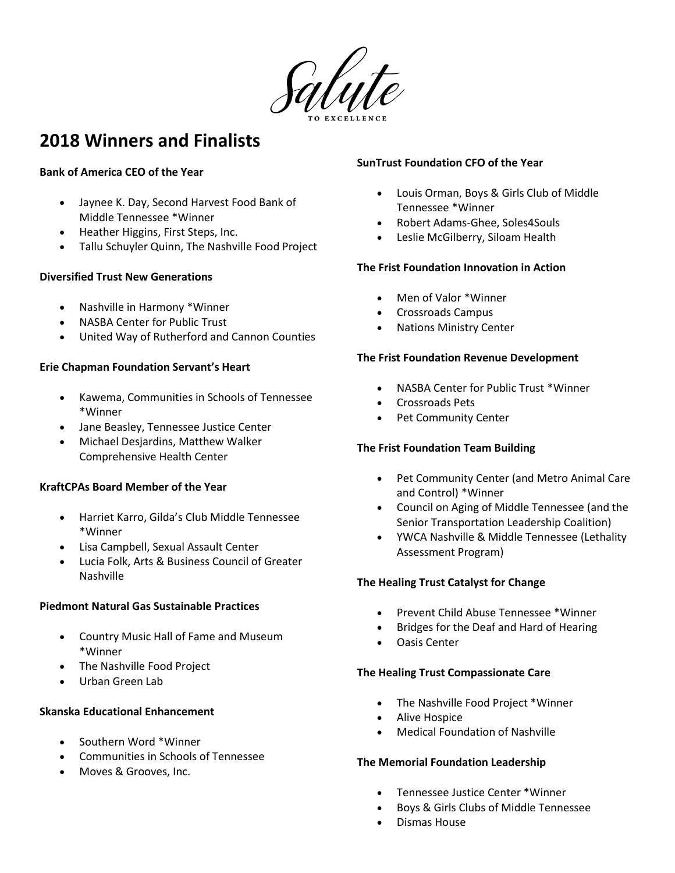

# **Bank of America CEO of the Year**

- Jaynee K. Day, Second Harvest Food Bank of Middle Tennessee \*Winner
- Heather Higgins, First Steps, Inc.
- Tallu Schuyler Quinn, The Nashville Food Project

# **Diversified Trust New Generations**

- Nashville in Harmony \*Winner
- NASBA Center for Public Trust
- United Way of Rutherford and Cannon Counties

# **Erie Chapman Foundation Servant's Heart**

- Kawema, Communities in Schools of Tennessee \*Winner
- Jane Beasley, Tennessee Justice Center
- Michael Desjardins, Matthew Walker Comprehensive Health Center

#### **KraftCPAs Board Member of the Year**

- Harriet Karro, Gilda's Club Middle Tennessee \*Winner
- Lisa Campbell, Sexual Assault Center
- Lucia Folk, Arts & Business Council of Greater Nashville

# **Piedmont Natural Gas Sustainable Practices**

- Country Music Hall of Fame and Museum \*Winner
- The Nashville Food Project
- Urban Green Lab

## **Skanska Educational Enhancement**

- Southern Word \*Winner
- Communities in Schools of Tennessee
- Moves & Grooves, Inc.

# **SunTrust Foundation CFO of the Year**

- Louis Orman, Boys & Girls Club of Middle Tennessee \*Winner
- Robert Adams-Ghee, Soles4Souls
- Leslie McGilberry, Siloam Health

#### **The Frist Foundation Innovation in Action**

- Men of Valor \*Winner
- Crossroads Campus
- Nations Ministry Center

# **The Frist Foundation Revenue Development**

- NASBA Center for Public Trust \*Winner
- Crossroads Pets
- Pet Community Center

# **The Frist Foundation Team Building**

- Pet Community Center (and Metro Animal Care and Control) \*Winner
- Council on Aging of Middle Tennessee (and the Senior Transportation Leadership Coalition)
- YWCA Nashville & Middle Tennessee (Lethality Assessment Program)

# **The Healing Trust Catalyst for Change**

- Prevent Child Abuse Tennessee \*Winner
- Bridges for the Deaf and Hard of Hearing
- Oasis Center

#### **The Healing Trust Compassionate Care**

- The Nashville Food Project \*Winner
- Alive Hospice
- Medical Foundation of Nashville

#### **The Memorial Foundation Leadership**

- Tennessee Justice Center \*Winner
- Boys & Girls Clubs of Middle Tennessee
- Dismas House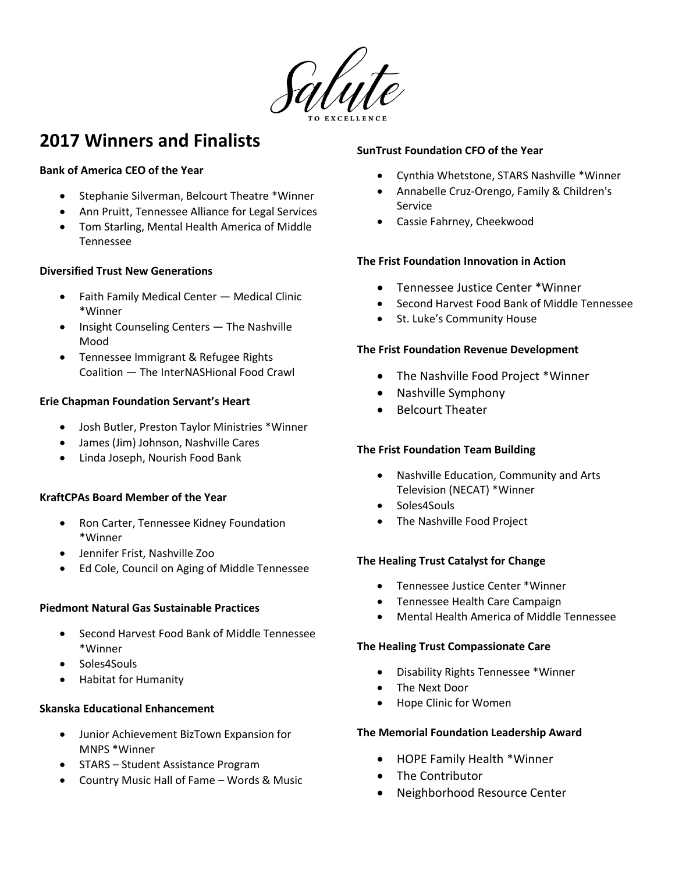

# **Bank of America CEO of the Year**

- Stephanie Silverman, Belcourt Theatre \*Winner
- Ann Pruitt, Tennessee Alliance for Legal Services
- Tom Starling, Mental Health America of Middle Tennessee

# **Diversified Trust New Generations**

- Faith Family Medical Center Medical Clinic \*Winner
- Insight Counseling Centers The Nashville Mood
- Tennessee Immigrant & Refugee Rights Coalition — The InterNASHional Food Crawl

# **Erie Chapman Foundation Servant's Heart**

- Josh Butler, Preston Taylor Ministries \*Winner
- James (Jim) Johnson, Nashville Cares
- Linda Joseph, Nourish Food Bank

#### **KraftCPAs Board Member of the Year**

- Ron Carter, Tennessee Kidney Foundation \*Winner
- Jennifer Frist, Nashville Zoo
- Ed Cole, Council on Aging of Middle Tennessee

#### **Piedmont Natural Gas Sustainable Practices**

- Second Harvest Food Bank of Middle Tennessee \*Winner
- Soles4Souls
- Habitat for Humanity

### **Skanska Educational Enhancement**

- Junior Achievement BizTown Expansion for MNPS \*Winner
- STARS Student Assistance Program
- Country Music Hall of Fame Words & Music

#### **SunTrust Foundation CFO of the Year**

- Cynthia Whetstone, STARS Nashville \*Winner
- Annabelle Cruz-Orengo, Family & Children's Service
- Cassie Fahrney, Cheekwood

# **The Frist Foundation Innovation in Action**

- Tennessee Justice Center \*Winner
- Second Harvest Food Bank of Middle Tennessee
- St. Luke's Community House

#### **The Frist Foundation Revenue Development**

- The Nashville Food Project \*Winner
- Nashville Symphony
- Belcourt Theater

# **The Frist Foundation Team Building**

- Nashville Education, Community and Arts Television (NECAT) \*Winner
- Soles4Souls
- The Nashville Food Project

# **The Healing Trust Catalyst for Change**

- Tennessee Justice Center \*Winner
- Tennessee Health Care Campaign
- Mental Health America of Middle Tennessee

#### **The Healing Trust Compassionate Care**

- Disability Rights Tennessee \*Winner
- The Next Door
- Hope Clinic for Women

#### **The Memorial Foundation Leadership Award**

- HOPE Family Health \*Winner
- The Contributor
- Neighborhood Resource Center